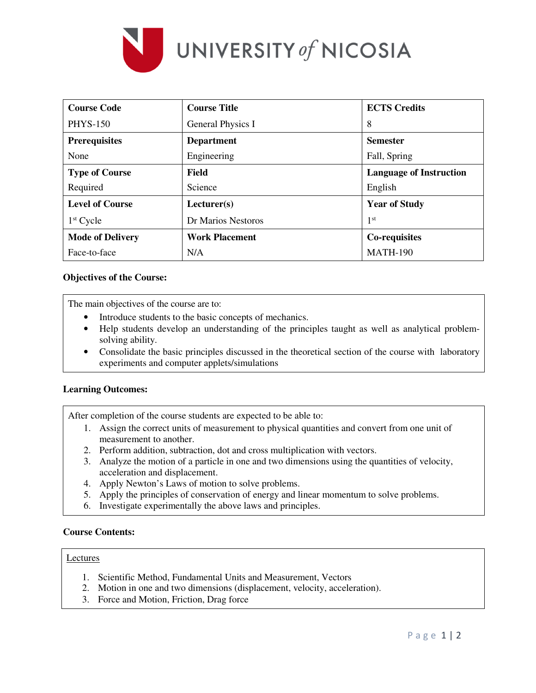

| <b>Course Code</b>      | <b>Course Title</b>   | <b>ECTS</b> Credits            |  |  |
|-------------------------|-----------------------|--------------------------------|--|--|
| <b>PHYS-150</b>         | General Physics I     | 8                              |  |  |
| <b>Prerequisites</b>    | <b>Department</b>     | <b>Semester</b>                |  |  |
| None                    | Engineering           | Fall, Spring                   |  |  |
| <b>Type of Course</b>   | Field                 | <b>Language of Instruction</b> |  |  |
| Required                | Science               | English                        |  |  |
| <b>Level of Course</b>  | Lecturer(s)           | <b>Year of Study</b>           |  |  |
| $1st$ Cycle             | Dr Marios Nestoros    | 1 <sup>st</sup>                |  |  |
| <b>Mode of Delivery</b> | <b>Work Placement</b> | Co-requisites                  |  |  |
| Face-to-face            | N/A                   | <b>MATH-190</b>                |  |  |

# **Objectives of the Course:**

The main objectives of the course are to:

- Introduce students to the basic concepts of mechanics.
- Help students develop an understanding of the principles taught as well as analytical problemsolving ability.
- Consolidate the basic principles discussed in the theoretical section of the course with laboratory experiments and computer applets/simulations

# **Learning Outcomes:**

After completion of the course students are expected to be able to:

- 1. Assign the correct units of measurement to physical quantities and convert from one unit of measurement to another.
- 2. Perform addition, subtraction, dot and cross multiplication with vectors.
- 3. Analyze the motion of a particle in one and two dimensions using the quantities of velocity, acceleration and displacement.
- 4. Apply Newton's Laws of motion to solve problems.
- 5. Apply the principles of conservation of energy and linear momentum to solve problems.
- 6. Investigate experimentally the above laws and principles.

# **Course Contents:**

#### Lectures

- 1. Scientific Method, Fundamental Units and Measurement, Vectors
- 2. Motion in one and two dimensions (displacement, velocity, acceleration).
- 3. Force and Motion, Friction, Drag force